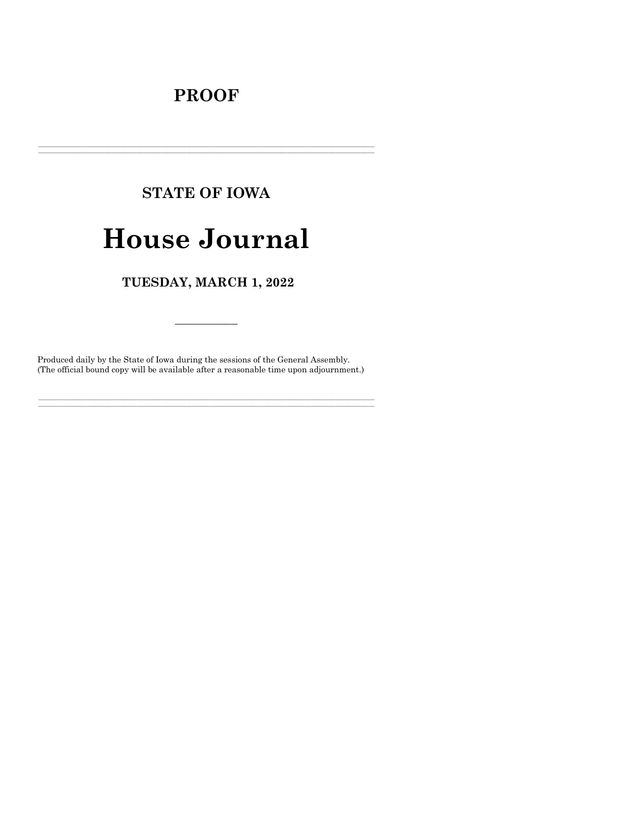# **PROOF**

# **STATE OF IOWA**

# **House Journal**

# TUESDAY, MARCH 1, 2022

Produced daily by the State of Iowa during the sessions of the General Assembly. (The official bound copy will be available after a reasonable time upon adjournment.)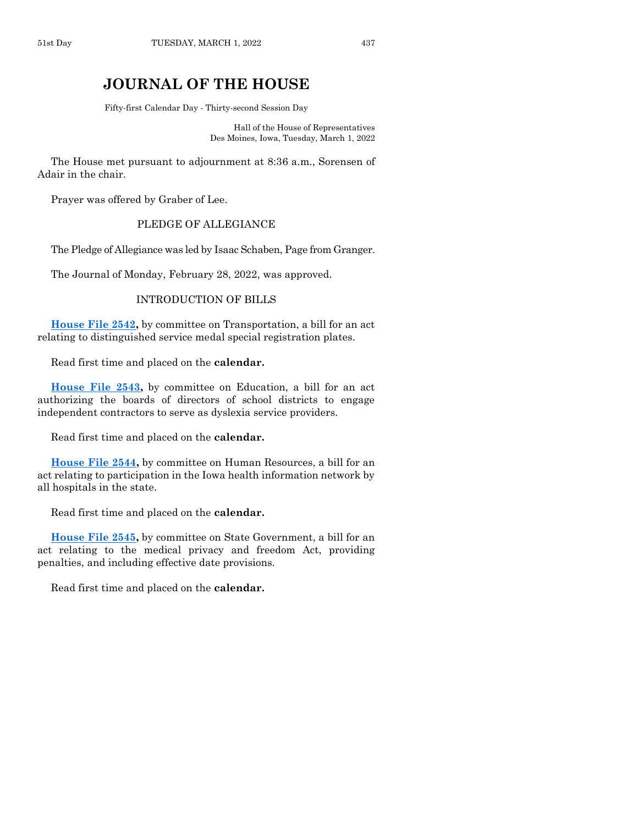# **JOURNAL OF THE HOUSE**

Fifty-first Calendar Day - Thirty-second Session Day

Hall of the House of Representatives Des Moines, Iowa, Tuesday, March 1, 2022

The House met pursuant to adjournment at 8:36 a.m., Sorensen of Adair in the chair.

Prayer was offered by Graber of Lee.

### PLEDGE OF ALLEGIANCE

The Pledge of Allegiance was led by Isaac Schaben, Page from Granger.

The Journal of Monday, February 28, 2022, was approved.

#### INTRODUCTION OF BILLS

**[House File 2542,](https://www.legis.iowa.gov/legislation/BillBook?ga=89&ba=HF2542)** by committee on Transportation, a bill for an act relating to distinguished service medal special registration plates.

Read first time and placed on the **calendar.**

**[House File 2543,](https://www.legis.iowa.gov/legislation/BillBook?ga=89&ba=HF2543)** by committee on Education, a bill for an act authorizing the boards of directors of school districts to engage independent contractors to serve as dyslexia service providers.

Read first time and placed on the **calendar.**

**[House File 2544,](https://www.legis.iowa.gov/legislation/BillBook?ga=89&ba=HF2544)** by committee on Human Resources, a bill for an act relating to participation in the Iowa health information network by all hospitals in the state.

Read first time and placed on the **calendar.**

**[House File 2545,](https://www.legis.iowa.gov/legislation/BillBook?ga=89&ba=HF2545)** by committee on State Government, a bill for an act relating to the medical privacy and freedom Act, providing penalties, and including effective date provisions.

Read first time and placed on the **calendar.**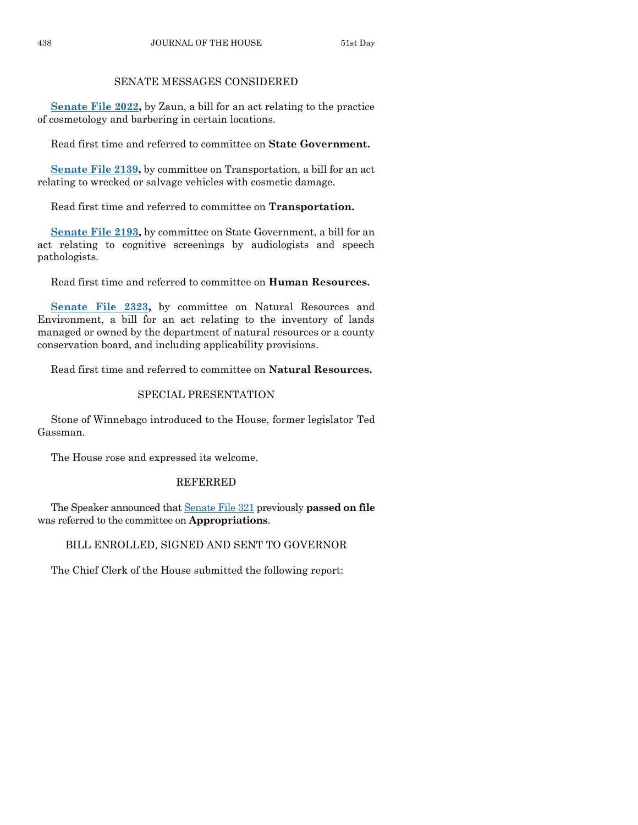## SENATE MESSAGES CONSIDERED

**[Senate File 2022,](https://www.legis.iowa.gov/legislation/BillBook?ga=89&ba=SF2022)** by Zaun, a bill for an act relating to the practice of cosmetology and barbering in certain locations.

Read first time and referred to committee on **State Government.**

**[Senate File 2139,](https://www.legis.iowa.gov/legislation/BillBook?ga=89&ba=SF2139)** by committee on Transportation, a bill for an act relating to wrecked or salvage vehicles with cosmetic damage.

Read first time and referred to committee on **Transportation.**

**[Senate File 2193,](https://www.legis.iowa.gov/legislation/BillBook?ga=89&ba=SF2193)** by committee on State Government, a bill for an act relating to cognitive screenings by audiologists and speech pathologists.

Read first time and referred to committee on **Human Resources.**

**[Senate File 2323,](https://www.legis.iowa.gov/legislation/BillBook?ga=89&ba=SF2323)** by committee on Natural Resources and Environment, a bill for an act relating to the inventory of lands managed or owned by the department of natural resources or a county conservation board, and including applicability provisions.

Read first time and referred to committee on **Natural Resources.**

## SPECIAL PRESENTATION

Stone of Winnebago introduced to the House, former legislator Ted Gassman.

The House rose and expressed its welcome.

## REFERRED

The Speaker announced that [Senate File 321](https://www.legis.iowa.gov/legislation/BillBook?ga=89&ba=SF321) previously **passed on file** was referred to the committee on **Appropriations**.

# BILL ENROLLED, SIGNED AND SENT TO GOVERNOR

The Chief Clerk of the House submitted the following report: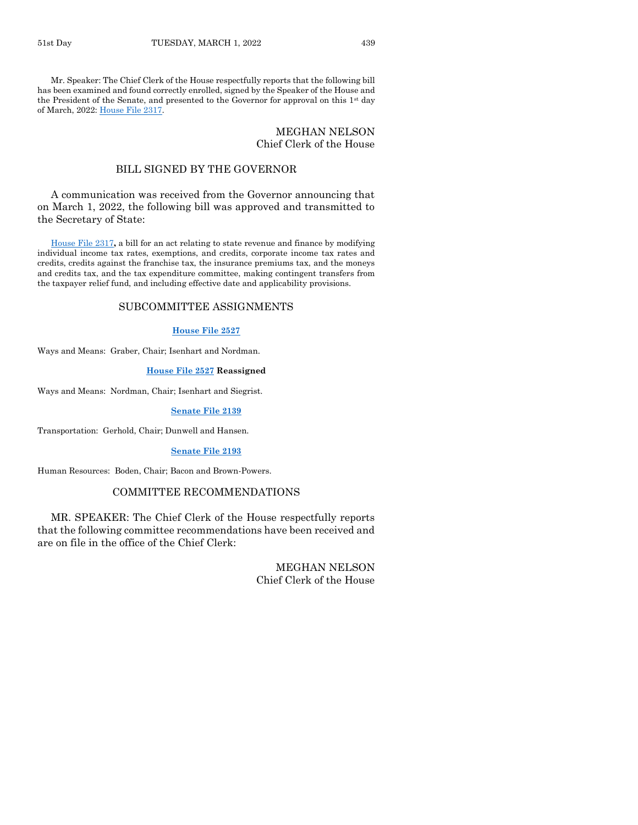Mr. Speaker: The Chief Clerk of the House respectfully reports that the following bill has been examined and found correctly enrolled, signed by the Speaker of the House and the President of the Senate, and presented to the Governor for approval on this  $1<sup>st</sup>$  day of March, 2022[: House File 2317.](https://www.legis.iowa.gov/legislation/BillBook?ga=89&ba=HF2317)

#### MEGHAN NELSON Chief Clerk of the House

#### BILL SIGNED BY THE GOVERNOR

A communication was received from the Governor announcing that on March 1, 2022, the following bill was approved and transmitted to the Secretary of State:

[House File 2317](https://www.legis.iowa.gov/legislation/BillBook?ga=89&ba=HF2317)**,** a bill for an act relating to state revenue and finance by modifying individual income tax rates, exemptions, and credits, corporate income tax rates and credits, credits against the franchise tax, the insurance premiums tax, and the moneys and credits tax, and the tax expenditure committee, making contingent transfers from the taxpayer relief fund, and including effective date and applicability provisions.

#### SUBCOMMITTEE ASSIGNMENTS

#### **[House File 2527](https://www.legis.iowa.gov/legislation/BillBook?ga=89&ba=HF2527)**

Ways and Means: Graber, Chair; Isenhart and Nordman.

#### **[House File 2527](https://www.legis.iowa.gov/legislation/BillBook?ga=89&ba=HF2527) Reassigned**

Ways and Means: Nordman, Chair; Isenhart and Siegrist.

#### **[Senate File 2139](https://www.legis.iowa.gov/legislation/BillBook?ga=89&ba=SF2139)**

Transportation: Gerhold, Chair; Dunwell and Hansen.

#### **[Senate File 2193](https://www.legis.iowa.gov/legislation/BillBook?ga=89&ba=SF2193)**

Human Resources: Boden, Chair; Bacon and Brown-Powers.

#### COMMITTEE RECOMMENDATIONS

MR. SPEAKER: The Chief Clerk of the House respectfully reports that the following committee recommendations have been received and are on file in the office of the Chief Clerk:

> MEGHAN NELSON Chief Clerk of the House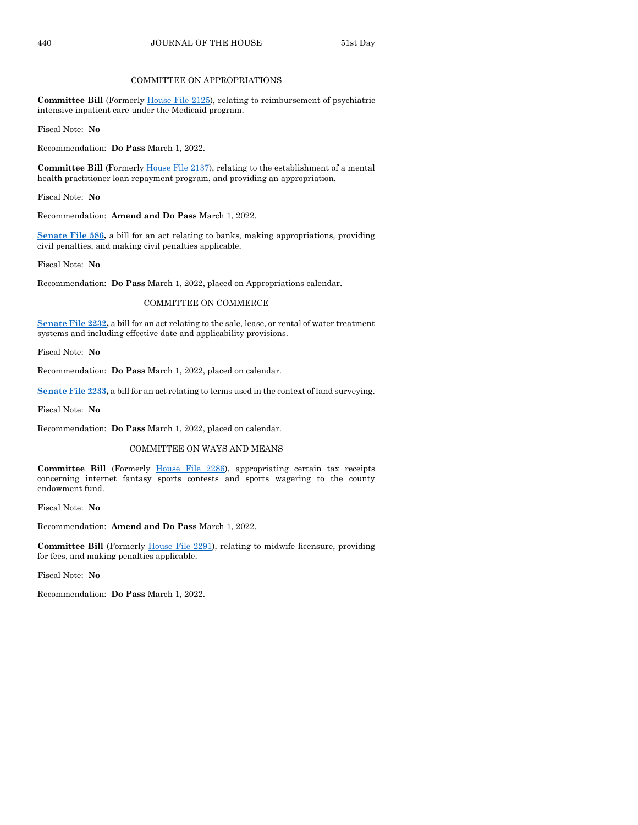#### COMMITTEE ON APPROPRIATIONS

**Committee Bill** (Formerly [House File 2125\)](https://www.legis.iowa.gov/legislation/BillBook?ga=89&ba=HF2125), relating to reimbursement of psychiatric intensive inpatient care under the Medicaid program.

Fiscal Note: **No**

Recommendation: **Do Pass** March 1, 2022.

**Committee Bill** (Formerl[y House File 2137\)](https://www.legis.iowa.gov/legislation/BillBook?ga=89&ba=HF2137), relating to the establishment of a mental health practitioner loan repayment program, and providing an appropriation.

Fiscal Note: **No**

Recommendation: **Amend and Do Pass** March 1, 2022.

**[Senate File 586,](https://www.legis.iowa.gov/legislation/BillBook?ga=89&ba=SF586)** a bill for an act relating to banks, making appropriations, providing civil penalties, and making civil penalties applicable.

Fiscal Note: **No**

Recommendation: **Do Pass** March 1, 2022, placed on Appropriations calendar.

#### COMMITTEE ON COMMERCE

**[Senate File 2232,](https://www.legis.iowa.gov/legislation/BillBook?ga=89&ba=SF2232)** a bill for an act relating to the sale, lease, or rental of water treatment systems and including effective date and applicability provisions.

Fiscal Note: **No**

Recommendation: **Do Pass** March 1, 2022, placed on calendar.

**[Senate File 2233,](https://www.legis.iowa.gov/legislation/BillBook?ga=89&ba=SF2233)** a bill for an act relating to terms used in the context of land surveying.

Fiscal Note: **No**

Recommendation: **Do Pass** March 1, 2022, placed on calendar.

#### COMMITTEE ON WAYS AND MEANS

**Committee Bill** (Formerly [House File 2286\)](https://www.legis.iowa.gov/legislation/BillBook?ga=89&ba=HF2286), appropriating certain tax receipts concerning internet fantasy sports contests and sports wagering to the county endowment fund.

Fiscal Note: **No**

Recommendation: **Amend and Do Pass** March 1, 2022.

**Committee Bill** (Formerly [House File 2291\)](https://www.legis.iowa.gov/legislation/BillBook?ga=89&ba=HF2291), relating to midwife licensure, providing for fees, and making penalties applicable.

Fiscal Note: **No**

Recommendation: **Do Pass** March 1, 2022.